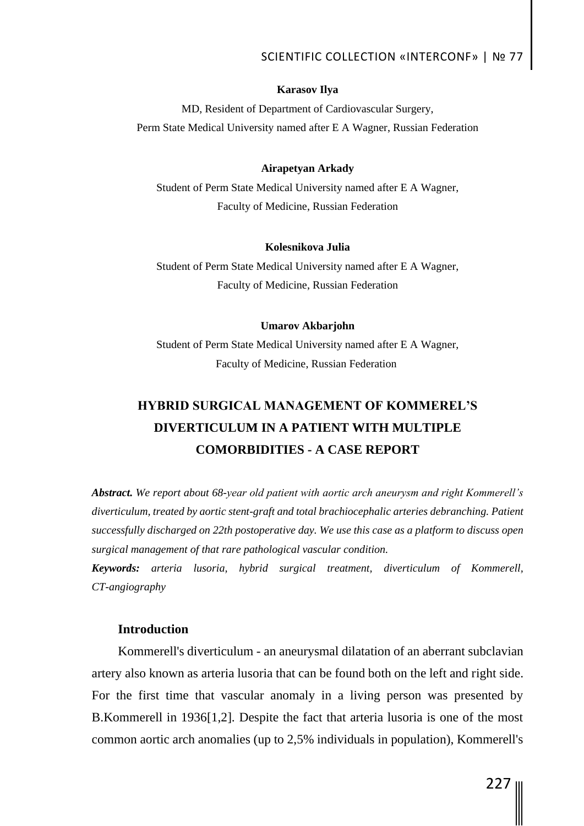## SCIENTIFIC COLLECTION «INTERCONF» | № 77

#### **Karasov Ilya**

MD, Resident of Department of Cardiovascular Surgery, Perm State Medical University named after E A Wagner, Russian Federation

### **Airapetyan Arkady**

Student of Perm State Medical University named after E A Wagner, Faculty of Medicine, Russian Federation

#### **Kolesnikova Julia**

Student of Perm State Medical University named after E A Wagner, Faculty of Medicine, Russian Federation

## **Umarov Akbarjohn**

Student of Perm State Medical University named after E A Wagner, Faculty of Medicine, Russian Federation

# **HYBRID SURGICAL MANAGEMENT OF KOMMEREL'S DIVERTICULUM IN A PATIENT WITH MULTIPLE COMORBIDITIES - A CASE REPORT**

*Abstract. We report about 68-year old patient with aortic arch aneurysm and right Kommerell's diverticulum, treated by aortic stent-graft and total brachiocephalic arteries debranching. Patient successfully discharged on 22th postoperative day. We use this case as a platform to discuss open surgical management of that rare pathological vascular condition.* 

*Keywords: arteria lusoria, hybrid surgical treatment, diverticulum of Kommerell, CT-angiography*

## **Introduction**

Kommerell's diverticulum - an aneurysmal dilatation of an aberrant subclavian artery also known as arteria lusoria that can be found both on the left and right side. For the first time that vascular anomaly in a living person was presented by B.Kommerell in 1936[1,2]. Despite the fact that arteria lusoria is one of the most common aortic arch anomalies (up to 2,5% individuals in population), Kommerell's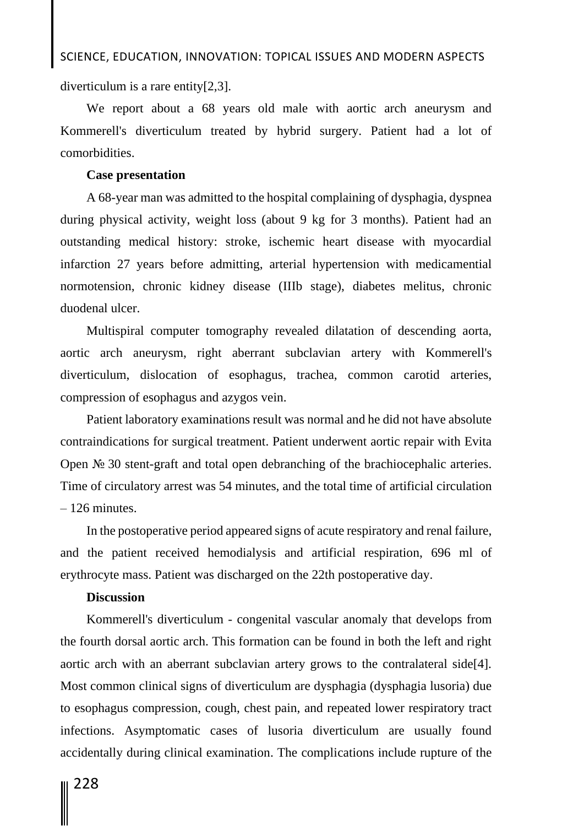## SCIENCE, EDUCATION, INNOVATION: TOPICAL ISSUES AND MODERN ASPECTS

diverticulum is a rare entity[2,3].

We report about a 68 years old male with aortic arch aneurysm and Kommerell's diverticulum treated by hybrid surgery. Patient had a lot of comorbidities.

### **Case presentation**

A 68-year man was admitted to the hospital complaining of dysphagia, dyspnea during physical activity, weight loss (about 9 kg for 3 months). Patient had an outstanding medical history: stroke, ischemic heart disease with myocardial infarction 27 years before admitting, arterial hypertension with medicamential normotension, chronic kidney disease (IIIb stage), diabetes melitus, chronic duodenal ulcer.

Multispiral computer tomography revealed dilatation of descending aorta, aortic arch aneurysm, right aberrant subclavian artery with Kommerell's diverticulum, dislocation of esophagus, trachea, common carotid arteries, compression of esophagus and azygos vein.

Patient laboratory examinations result was normal and he did not have absolute contraindications for surgical treatment. Patient underwent aortic repair with Evita Open № 30 stent-graft and total open debranching of the brachiocephalic arteries. Time of circulatory arrest was 54 minutes, and the total time of artificial circulation – 126 minutes.

In the postoperative period appeared signs of acute respiratory and renal failure, and the patient received hemodialysis and artificial respiration, 696 ml of erythrocyte mass. Patient was discharged on the 22th postoperative day.

## **Discussion**

Kommerell's diverticulum - congenital vascular anomaly that develops from the fourth dorsal aortic arch. This formation can be found in both the left and right aortic arch with an aberrant subclavian artery grows to the contralateral side[4]. Most common clinical signs of diverticulum are dysphagia (dysphagia lusoria) due to esophagus compression, cough, chest pain, and repeated lower respiratory tract infections. Asymptomatic cases of lusoria diverticulum are usually found accidentally during clinical examination. The complications include rupture of the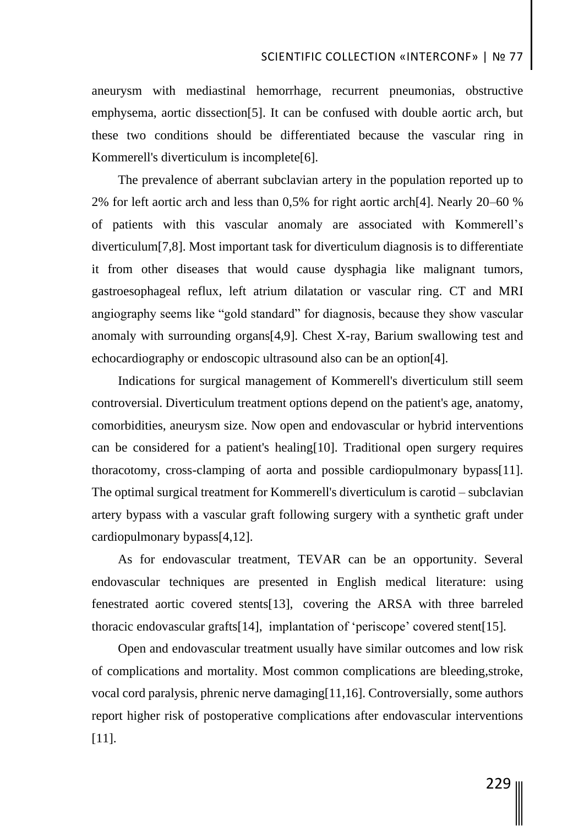aneurysm with mediastinal hemorrhage, recurrent pneumonias, obstructive emphysema, aortic dissection[5]. It can be confused with double aortic arch, but these two conditions should be differentiated because the vascular ring in Kommerell's diverticulum is incomplete[6].

The prevalence of aberrant subclavian artery in the population reported up to 2% for left aortic arch and less than 0,5% for right aortic arch[4]. Nearly 20–60 % of patients with this vascular anomaly are associated with Kommerell's diverticulum[7,8]. Most important task for diverticulum diagnosis is to differentiate it from other diseases that would cause dysphagia like malignant tumors, gastroesophageal reflux, left atrium dilatation or vascular ring. CT and MRI angiography seems like "gold standard" for diagnosis, because they show vascular anomaly with surrounding organs[4,9]. Chest X-ray, Barium swallowing test and echocardiography or endoscopic ultrasound also can be an option[4].

Indications for surgical management of Kommerell's diverticulum still seem controversial. Diverticulum treatment options depend on the patient's age, anatomy, comorbidities, aneurysm size. Now open and endovascular or hybrid interventions can be considered for a patient's healing[10]. Traditional open surgery requires thoracotomy, cross-clamping of aorta and possible cardiopulmonary bypass[11]. The optimal surgical treatment for Kommerell's diverticulum is carotid – subclavian artery bypass with a vascular graft following surgery with a synthetic graft under cardiopulmonary bypass[4,12].

As for endovascular treatment, TEVAR can be an opportunity. Several endovascular techniques are presented in English medical literature: using fenestrated aortic covered stents[13][,](https://www.ncbi.nlm.nih.gov/pmc/articles/PMC6579525/#B013) covering the ARSA with three barreled thoracic endovascular grafts[14][,](https://www.ncbi.nlm.nih.gov/pmc/articles/PMC6579525/#B014) implantation of 'periscope' covered stent[15].

Open and endovascular treatment usually have similar outcomes and low risk of complications and mortality. Most common complications are bleeding,stroke, vocal cord paralysis, phrenic nerve damaging[11,16]. Controversially, some authors report higher risk of postoperative complications after endovascular interventions [11].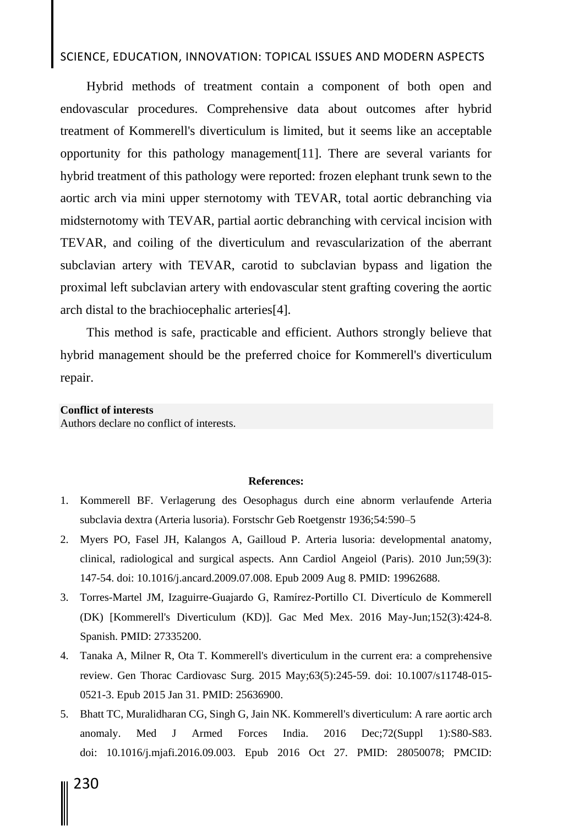# SCIENCE, EDUCATION, INNOVATION: TOPICAL ISSUES AND MODERN ASPECTS

Hybrid methods of treatment contain a component of both open and endovascular procedures. Comprehensive data about outcomes after hybrid treatment of Kommerell's diverticulum is limited, but it seems like an acceptable opportunity for this pathology management[11]. There are several variants for hybrid treatment of this pathology were reported: frozen elephant trunk sewn to the aortic arch via mini upper sternotomy with TEVAR, total aortic debranching via midsternotomy with TEVAR, partial aortic debranching with cervical incision with TEVAR, and coiling of the diverticulum and revascularization of the aberrant subclavian artery with TEVAR, carotid to subclavian bypass and ligation the proximal left subclavian artery with endovascular stent grafting covering the aortic arch distal to the brachiocephalic arteries[4].

This method is safe, practicable and efficient. Authors strongly believe that hybrid management should be the preferred choice for Kommerell's diverticulum repair.

#### **Conflict of interests**

Authors declare no conflict of interests.

#### **References:**

- 1. Kommerell BF. Verlagerung des Oesophagus durch eine abnorm verlaufende Arteria subclavia dextra (Arteria lusoria). Forstschr Geb Roetgenstr 1936;54:590–5
- 2. Myers PO, Fasel JH, Kalangos A, Gailloud P. Arteria lusoria: developmental anatomy, clinical, radiological and surgical aspects. Ann Cardiol Angeiol (Paris). 2010 Jun;59(3): 147-54. doi: 10.1016/j.ancard.2009.07.008. Epub 2009 Aug 8. PMID: 19962688.
- 3. Torres-Martel JM, Izaguirre-Guajardo G, Ramírez-Portillo CI. Divertículo de Kommerell (DK) [Kommerell's Diverticulum (KD)]. Gac Med Mex. 2016 May-Jun;152(3):424-8. Spanish. PMID: 27335200.
- 4. Tanaka A, Milner R, Ota T. Kommerell's diverticulum in the current era: a comprehensive review. Gen Thorac Cardiovasc Surg. 2015 May;63(5):245-59. doi: 10.1007/s11748-015- 0521-3. Epub 2015 Jan 31. PMID: 25636900.
- 5. Bhatt TC, Muralidharan CG, Singh G, Jain NK. Kommerell's diverticulum: A rare aortic arch anomaly. Med J Armed Forces India. 2016 Dec;72(Suppl 1):S80-S83. doi: 10.1016/j.mjafi.2016.09.003. Epub 2016 Oct 27. PMID: 28050078; PMCID: